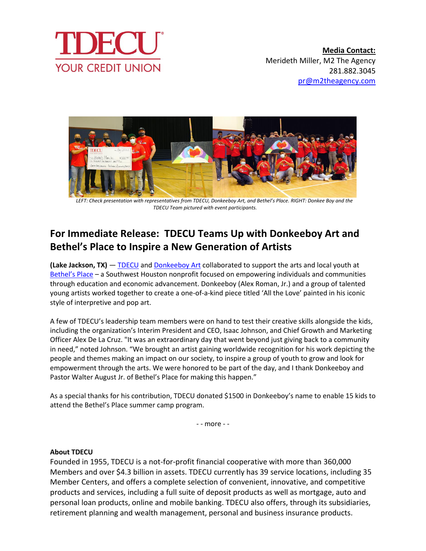



*LEFT: Check presentation with representatives from TDECU, Donkeeboy Art, and Bethel's Place. RIGHT: Donkee Boy and the TDECU Team pictured with event participants.*

## **For Immediate Release: TDECU Teams Up with Donkeeboy Art and Bethel's Place to Inspire a New Generation of Artists**

**(Lake Jackson, TX)** — [TDECU](https://www.tdecu.org/) and [Donkeeboy Art](https://donkeeboy.com/) collaborated to support the arts and local youth at [Bethel's Place](https://www.bethelsplace.org/) – a Southwest Houston nonprofit focused on empowering individuals and communities through education and economic advancement. Donkeeboy (Alex Roman, Jr.) and a group of talented young artists worked together to create a one-of-a-kind piece titled 'All the Love' painted in his iconic style of interpretive and pop art.

A few of TDECU's leadership team members were on hand to test their creative skills alongside the kids, including the organization's Interim President and CEO, Isaac Johnson, and Chief Growth and Marketing Officer Alex De La Cruz. "It was an extraordinary day that went beyond just giving back to a community in need," noted Johnson. "We brought an artist gaining worldwide recognition for his work depicting the people and themes making an impact on our society, to inspire a group of youth to grow and look for empowerment through the arts. We were honored to be part of the day, and I thank Donkeeboy and Pastor Walter August Jr. of Bethel's Place for making this happen."

As a special thanks for his contribution, TDECU donated \$1500 in Donkeeboy's name to enable 15 kids to attend the Bethel's Place summer camp program.

- - more - -

## **About TDECU**

Founded in 1955, TDECU is a not-for-profit financial cooperative with more than 360,000 Members and over \$4.3 billion in assets. TDECU currently has 39 service locations, including 35 Member Centers, and offers a complete selection of convenient, innovative, and competitive products and services, including a full suite of deposit products as well as mortgage, auto and personal loan products, online and mobile banking. TDECU also offers, through its subsidiaries, retirement planning and wealth management, personal and business insurance products.